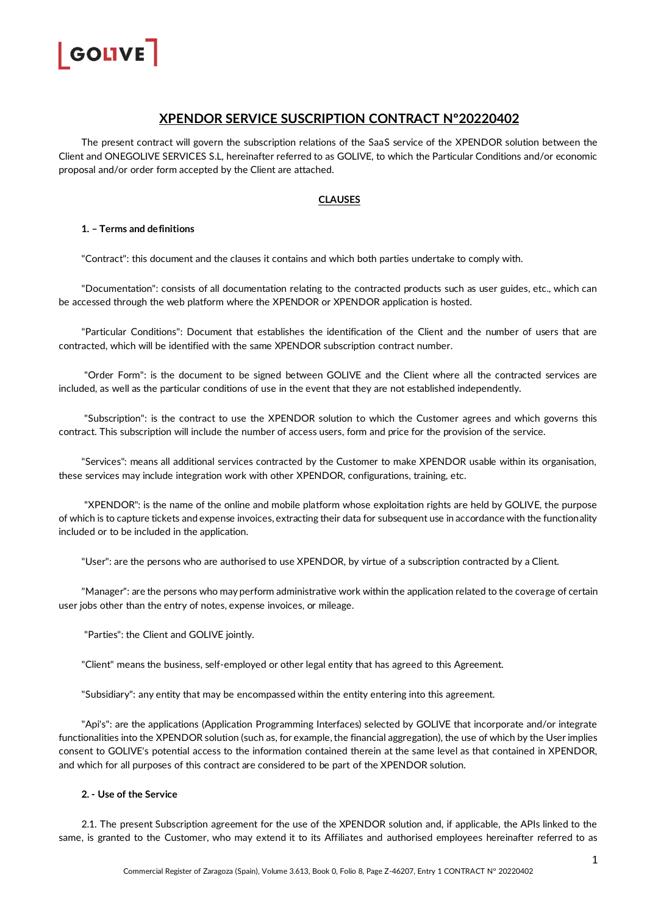

# **XPENDOR SERVICE SUSCRIPTION CONTRACT Nº20220402**

The present contract will govern the subscription relations of the SaaS service of the XPENDOR solution between the Client and ONEGOLIVE SERVICES S.L, hereinafter referred to as GOLIVE, to which the Particular Conditions and/or economic proposal and/or order form accepted by the Client are attached.

# **CLAUSES**

# **1. – Terms and definitions**

"Contract": this document and the clauses it contains and which both parties undertake to comply with.

"Documentation": consists of all documentation relating to the contracted products such as user guides, etc., which can be accessed through the web platform where the XPENDOR or XPENDOR application is hosted.

"Particular Conditions": Document that establishes the identification of the Client and the number of users that are contracted, which will be identified with the same XPENDOR subscription contract number.

"Order Form": is the document to be signed between GOLIVE and the Client where all the contracted services are included, as well as the particular conditions of use in the event that they are not established independently.

"Subscription": is the contract to use the XPENDOR solution to which the Customer agrees and which governs this contract. This subscription will include the number of access users, form and price for the provision of the service.

"Services": means all additional services contracted by the Customer to make XPENDOR usable within its organisation, these services may include integration work with other XPENDOR, configurations, training, etc.

"XPENDOR": is the name of the online and mobile platform whose exploitation rights are held by GOLIVE, the purpose of which is to capture tickets and expense invoices, extracting their data for subsequent use in accordance with the functionality included or to be included in the application.

"User": are the persons who are authorised to use XPENDOR, by virtue of a subscription contracted by a Client.

"Manager": are the persons who may perform administrative work within the application related to the coverage of certain user jobs other than the entry of notes, expense invoices, or mileage.

"Parties": the Client and GOLIVE jointly.

"Client" means the business, self-employed or other legal entity that has agreed to this Agreement.

"Subsidiary": any entity that may be encompassed within the entity entering into this agreement.

"Api's": are the applications (Application Programming Interfaces) selected by GOLIVE that incorporate and/or integrate functionalities into the XPENDOR solution (such as, for example, the financial aggregation), the use of which by the User implies consent to GOLIVE's potential access to the information contained therein at the same level as that contained in XPENDOR, and which for all purposes of this contract are considered to be part of the XPENDOR solution.

# **2. - Use of the Service**

2.1. The present Subscription agreement for the use of the XPENDOR solution and, if applicable, the APIs linked to the same, is granted to the Customer, who may extend it to its Affiliates and authorised employees hereinafter referred to as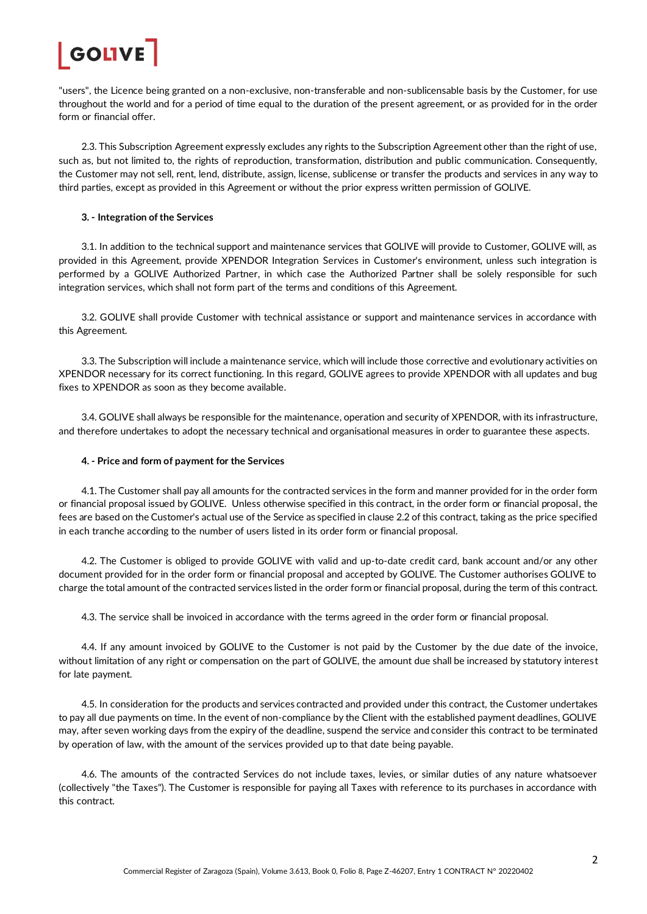

"users", the Licence being granted on a non-exclusive, non-transferable and non-sublicensable basis by the Customer, for use throughout the world and for a period of time equal to the duration of the present agreement, or as provided for in the order form or financial offer

2.3. This Subscription Agreement expressly excludes any rights to the Subscription Agreement other than the right of use, such as, but not limited to, the rights of reproduction, transformation, distribution and public communication. Consequently, the Customer may not sell, rent, lend, distribute, assign, license, sublicense or transfer the products and services in any way to third parties, except as provided in this Agreement or without the prior express written permission of GOLIVE.

### **3. - Integration of the Services**

3.1. In addition to the technical support and maintenance services that GOLIVE will provide to Customer, GOLIVE will, as provided in this Agreement, provide XPENDOR Integration Services in Customer's environment, unless such integration is performed by a GOLIVE Authorized Partner, in which case the Authorized Partner shall be solely responsible for such integration services, which shall not form part of the terms and conditions of this Agreement.

3.2. GOLIVE shall provide Customer with technical assistance or support and maintenance services in accordance with this Agreement.

3.3. The Subscription will include a maintenance service, which will include those corrective and evolutionary activities on XPENDOR necessary for its correct functioning. In this regard, GOLIVE agrees to provide XPENDOR with all updates and bug fixes to XPENDOR as soon as they become available.

3.4. GOLIVE shall always be responsible for the maintenance, operation and security of XPENDOR, with its infrastructure, and therefore undertakes to adopt the necessary technical and organisational measures in order to guarantee these aspects.

#### **4. - Price and form of payment for the Services**

4.1. The Customer shall pay all amounts for the contracted services in the form and manner provided for in the order form or financial proposal issued by GOLIVE. Unless otherwise specified in this contract, in the order form or financial proposal, the fees are based on the Customer's actual use of the Service as specified in clause 2.2 of this contract, taking as the price specified in each tranche according to the number of users listed in its order form or financial proposal.

4.2. The Customer is obliged to provide GOLIVE with valid and up-to-date credit card, bank account and/or any other document provided for in the order form or financial proposal and accepted by GOLIVE. The Customer authorises GOLIVE to charge the total amount of the contracted services listed in the order form or financial proposal, during the term of this contract.

4.3. The service shall be invoiced in accordance with the terms agreed in the order form or financial proposal.

4.4. If any amount invoiced by GOLIVE to the Customer is not paid by the Customer by the due date of the invoice, without limitation of any right or compensation on the part of GOLIVE, the amount due shall be increased by statutory interest for late payment.

4.5. In consideration for the products and services contracted and provided under this contract, the Customer undertakes to pay all due payments on time. In the event of non-compliance by the Client with the established payment deadlines, GOLIVE may, after seven working days from the expiry of the deadline, suspend the service and consider this contract to be terminated by operation of law, with the amount of the services provided up to that date being payable.

4.6. The amounts of the contracted Services do not include taxes, levies, or similar duties of any nature whatsoever (collectively "the Taxes"). The Customer is responsible for paying all Taxes with reference to its purchases in accordance with this contract.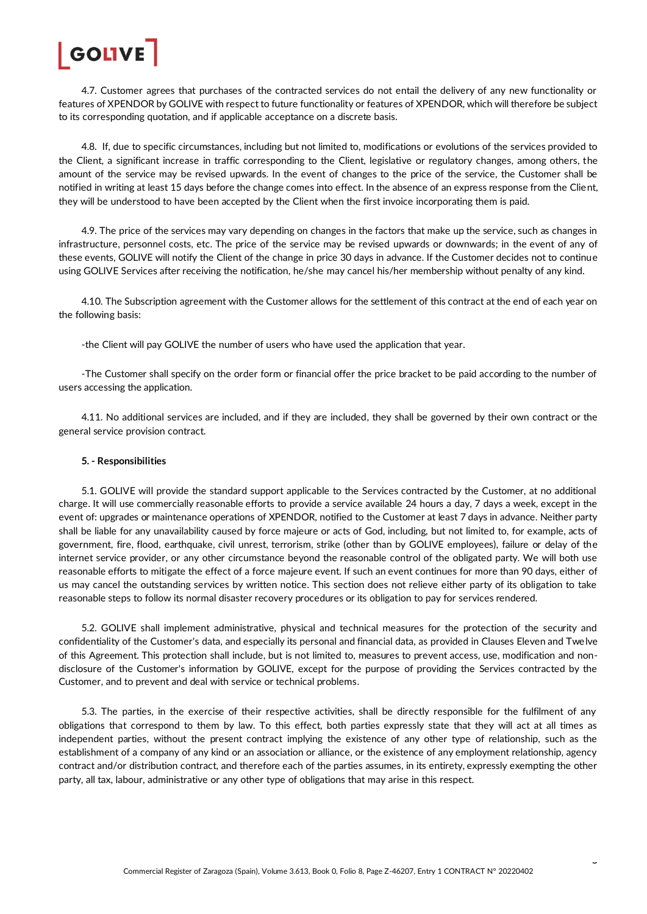

4.7. Customer agrees that purchases of the contracted services do not entail the delivery of any new functionality or features of XPENDOR by GOLIVE with respect to future functionality or features of XPENDOR, which will therefore be subject to its corresponding quotation, and if applicable acceptance on a discrete basis.

4.8. If, due to specific circumstances, including but not limited to, modifications or evolutions of the services provided to the Client, a significant increase in traffic corresponding to the Client, legislative or regulatory changes, among others, the amount of the service may be revised upwards. In the event of changes to the price of the service, the Customer shall be notified in writing at least 15 days before the change comes into effect. In the absence of an express response from the Client, they will be understood to have been accepted by the Client when the first invoice incorporating them is paid.

4.9. The price of the services may vary depending on changes in the factors that make up the service, such as changes in infrastructure, personnel costs, etc. The price of the service may be revised upwards or downwards; in the event of any of these events, GOLIVE will notify the Client of the change in price 30 days in advance. If the Customer decides not to continue using GOLIVE Services after receiving the notification, he/she may cancel his/her membership without penalty of any kind.

4.10. The Subscription agreement with the Customer allows for the settlement of this contract at the end of each year on the following basis:

-the Client will pay GOLIVE the number of users who have used the application that year.

-The Customer shall specify on the order form or financial offer the price bracket to be paid according to the number of users accessing the application.

4.11. No additional services are included, and if they are included, they shall be governed by their own contract or the general service provision contract.

### **5. - Responsibilities**

5.1. GOLIVE will provide the standard support applicable to the Services contracted by the Customer, at no additional charge. It will use commercially reasonable efforts to provide a service available 24 hours a day, 7 days a week, except in the event of: upgrades or maintenance operations of XPENDOR, notified to the Customer at least 7 days in advance. Neither party shall be liable for any unavailability caused by force majeure or acts of God, including, but not limited to, for example, acts of government, fire, flood, earthquake, civil unrest, terrorism, strike (other than by GOLIVE employees), failure or delay of the internet service provider, or any other circumstance beyond the reasonable control of the obligated party. We will both use reasonable efforts to mitigate the effect of a force majeure event. If such an event continues for more than 90 days, either of us may cancel the outstanding services by written notice. This section does not relieve either party of its obligation to take reasonable steps to follow its normal disaster recovery procedures or its obligation to pay for services rendered.

5.2. GOLIVE shall implement administrative, physical and technical measures for the protection of the security and confidentiality of the Customer's data, and especially its personal and financial data, as provided in Clauses Eleven and Twelve of this Agreement. This protection shall include, but is not limited to, measures to prevent access, use, modification and nondisclosure of the Customer's information by GOLIVE, except for the purpose of providing the Services contracted by the Customer, and to prevent and deal with service or technical problems.

5.3. The parties, in the exercise of their respective activities, shall be directly responsible for the fulfilment of any obligations that correspond to them by law. To this effect, both parties expressly state that they will act at all times as independent parties, without the present contract implying the existence of any other type of relationship, such as the establishment of a company of any kind or an association or alliance, or the existence of any employment relationship, agency contract and/or distribution contract, and therefore each of the parties assumes, in its entirety, expressly exempting the other party, all tax, labour, administrative or any other type of obligations that may arise in this respect.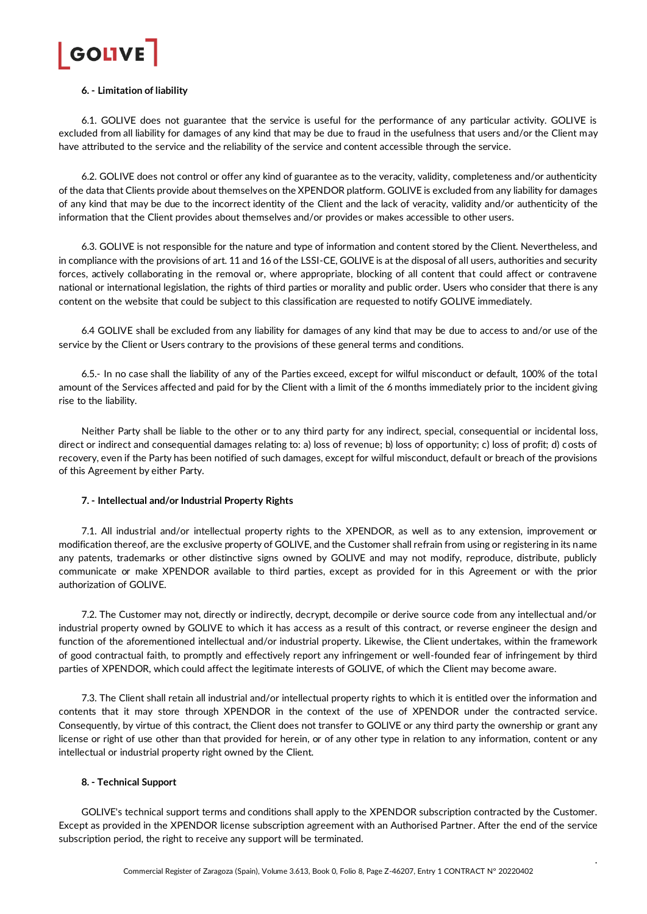

### **6. - Limitation of liability**

6.1. GOLIVE does not guarantee that the service is useful for the performance of any particular activity. GOLIVE is excluded from all liability for damages of any kind that may be due to fraud in the usefulness that users and/or the Client may have attributed to the service and the reliability of the service and content accessible through the service.

6.2. GOLIVE does not control or offer any kind of guarantee as to the veracity, validity, completeness and/or authenticity of the data that Clients provide about themselves on the XPENDOR platform. GOLIVE is excluded from any liability for damages of any kind that may be due to the incorrect identity of the Client and the lack of veracity, validity and/or authenticity of the information that the Client provides about themselves and/or provides or makes accessible to other users.

6.3. GOLIVE is not responsible for the nature and type of information and content stored by the Client. Nevertheless, and in compliance with the provisions of art. 11 and 16 of the LSSI-CE, GOLIVE is at the disposal of all users, authorities and security forces, actively collaborating in the removal or, where appropriate, blocking of all content that could affect or contravene national or international legislation, the rights of third parties or morality and public order. Users who consider that there is any content on the website that could be subject to this classification are requested to notify GOLIVE immediately.

6.4 GOLIVE shall be excluded from any liability for damages of any kind that may be due to access to and/or use of the service by the Client or Users contrary to the provisions of these general terms and conditions.

6.5.- In no case shall the liability of any of the Parties exceed, except for wilful misconduct or default, 100% of the total amount of the Services affected and paid for by the Client with a limit of the 6 months immediately prior to the incident giving rise to the liability.

Neither Party shall be liable to the other or to any third party for any indirect, special, consequential or incidental loss, direct or indirect and consequential damages relating to: a) loss of revenue; b) loss of opportunity; c) loss of profit; d) costs of recovery, even if the Party has been notified of such damages, except for wilful misconduct, default or breach of the provisions of this Agreement by either Party.

#### **7. - Intellectual and/or Industrial Property Rights**

7.1. All industrial and/or intellectual property rights to the XPENDOR, as well as to any extension, improvement or modification thereof, are the exclusive property of GOLIVE, and the Customer shall refrain from using or registering in its name any patents, trademarks or other distinctive signs owned by GOLIVE and may not modify, reproduce, distribute, publicly communicate or make XPENDOR available to third parties, except as provided for in this Agreement or with the prior authorization of GOLIVE.

7.2. The Customer may not, directly or indirectly, decrypt, decompile or derive source code from any intellectual and/or industrial property owned by GOLIVE to which it has access as a result of this contract, or reverse engineer the design and function of the aforementioned intellectual and/or industrial property. Likewise, the Client undertakes, within the framework of good contractual faith, to promptly and effectively report any infringement or well-founded fear of infringement by third parties of XPENDOR, which could affect the legitimate interests of GOLIVE, of which the Client may become aware.

7.3. The Client shall retain all industrial and/or intellectual property rights to which it is entitled over the information and contents that it may store through XPENDOR in the context of the use of XPENDOR under the contracted service. Consequently, by virtue of this contract, the Client does not transfer to GOLIVE or any third party the ownership or grant any license or right of use other than that provided for herein, or of any other type in relation to any information, content or any intellectual or industrial property right owned by the Client.

### **8. - Technical Support**

GOLIVE's technical support terms and conditions shall apply to the XPENDOR subscription contracted by the Customer. Except as provided in the XPENDOR license subscription agreement with an Authorised Partner. After the end of the service subscription period, the right to receive any support will be terminated.

4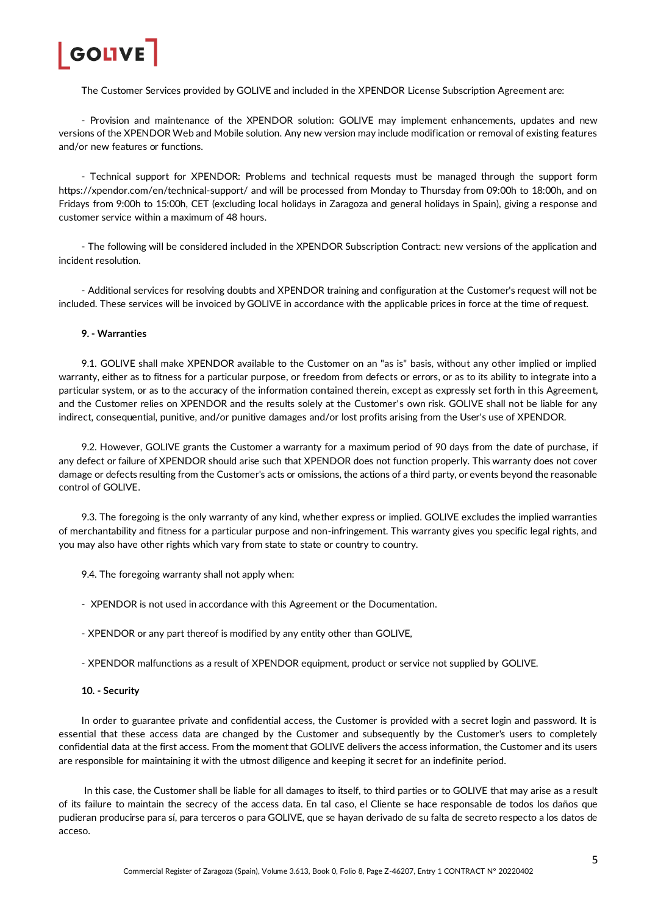

The Customer Services provided by GOLIVE and included in the XPENDOR License Subscription Agreement are:

- Provision and maintenance of the XPENDOR solution: GOLIVE may implement enhancements, updates and new versions of the XPENDOR Web and Mobile solution. Any new version may include modification or removal of existing features and/or new features or functions.

- Technical support for XPENDOR: Problems and technical requests must be managed through the support form <https://xpendor.com/en/technical-support/> and will be processed from Monday to Thursday from 09:00h to 18:00h, and on Fridays from 9:00h to 15:00h, CET (excluding local holidays in Zaragoza and general holidays in Spain), giving a response and customer service within a maximum of 48 hours.

- The following will be considered included in the XPENDOR Subscription Contract: new versions of the application and incident resolution.

- Additional services for resolving doubts and XPENDOR training and configuration at the Customer's request will not be included. These services will be invoiced by GOLIVE in accordance with the applicable prices in force at the time of request.

# **9. - Warranties**

9.1. GOLIVE shall make XPENDOR available to the Customer on an "as is" basis, without any other implied or implied warranty, either as to fitness for a particular purpose, or freedom from defects or errors, or as to its ability to integrate into a particular system, or as to the accuracy of the information contained therein, except as expressly set forth in this Agreement, and the Customer relies on XPENDOR and the results solely at the Customer's own risk. GOLIVE shall not be liable for any indirect, consequential, punitive, and/or punitive damages and/or lost profits arising from the User's use of XPENDOR.

9.2. However, GOLIVE grants the Customer a warranty for a maximum period of 90 days from the date of purchase, if any defect or failure of XPENDOR should arise such that XPENDOR does not function properly. This warranty does not cover damage or defects resulting from the Customer's acts or omissions, the actions of a third party, or events beyond the reasonable control of GOLIVE.

9.3. The foregoing is the only warranty of any kind, whether express or implied. GOLIVE excludes the implied warranties of merchantability and fitness for a particular purpose and non-infringement. This warranty gives you specific legal rights, and you may also have other rights which vary from state to state or country to country.

- 9.4. The foregoing warranty shall not apply when:
- XPENDOR is not used in accordance with this Agreement or the Documentation.
- XPENDOR or any part thereof is modified by any entity other than GOLIVE,
- XPENDOR malfunctions as a result of XPENDOR equipment, product or service not supplied by GOLIVE.
- **10. - Security**

In order to guarantee private and confidential access, the Customer is provided with a secret login and password. It is essential that these access data are changed by the Customer and subsequently by the Customer's users to completely confidential data at the first access. From the moment that GOLIVE delivers the access information, the Customer and its users are responsible for maintaining it with the utmost diligence and keeping it secret for an indefinite period.

In this case, the Customer shall be liable for all damages to itself, to third parties or to GOLIVE that may arise as a result of its failure to maintain the secrecy of the access data. En tal caso, el Cliente se hace responsable de todos los daños que pudieran producirse para sí, para terceros o para GOLIVE, que se hayan derivado de su falta de secreto respecto a los datos de acceso.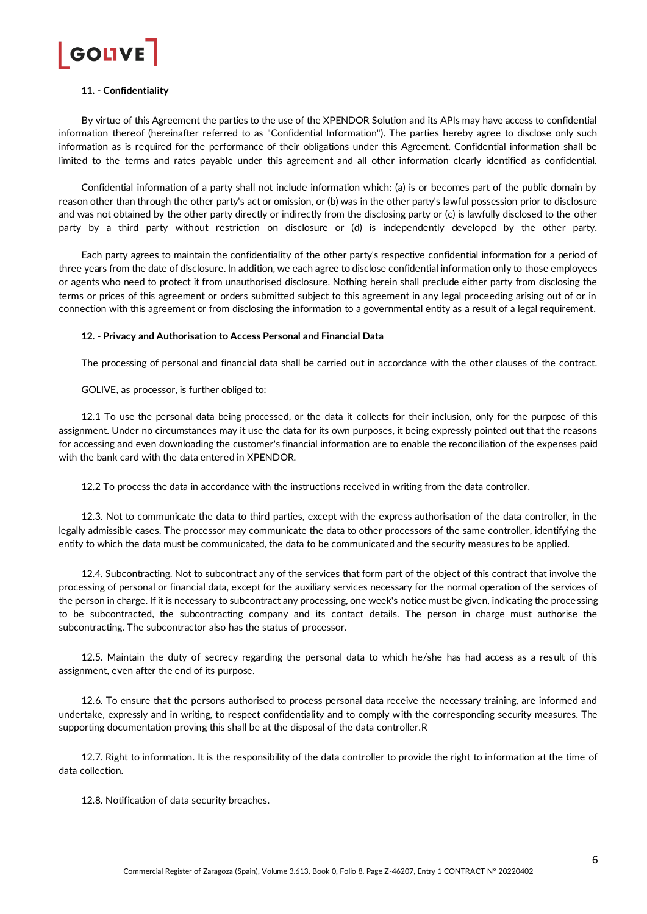

# **11. - Confidentiality**

By virtue of this Agreement the parties to the use of the XPENDOR Solution and its APIs may have access to confidential information thereof (hereinafter referred to as "Confidential Information"). The parties hereby agree to disclose only such information as is required for the performance of their obligations under this Agreement. Confidential information shall be limited to the terms and rates payable under this agreement and all other information clearly identified as confidential.

Confidential information of a party shall not include information which: (a) is or becomes part of the public domain by reason other than through the other party's act or omission, or (b) was in the other party's lawful possession prior to disclosure and was not obtained by the other party directly or indirectly from the disclosing party or (c) is lawfully disclosed to the other party by a third party without restriction on disclosure or (d) is independently developed by the other party.

Each party agrees to maintain the confidentiality of the other party's respective confidential information for a period of three years from the date of disclosure. In addition, we each agree to disclose confidential information only to those employees or agents who need to protect it from unauthorised disclosure. Nothing herein shall preclude either party from disclosing the terms or prices of this agreement or orders submitted subject to this agreement in any legal proceeding arising out of or in connection with this agreement or from disclosing the information to a governmental entity as a result of a legal requirement.

#### **12. - Privacy and Authorisation to Access Personal and Financial Data**

The processing of personal and financial data shall be carried out in accordance with the other clauses of the contract.

GOLIVE, as processor, is further obliged to:

12.1 To use the personal data being processed, or the data it collects for their inclusion, only for the purpose of this assignment. Under no circumstances may it use the data for its own purposes, it being expressly pointed out that the reasons for accessing and even downloading the customer's financial information are to enable the reconciliation of the expenses paid with the bank card with the data entered in XPENDOR.

12.2 To process the data in accordance with the instructions received in writing from the data controller.

12.3. Not to communicate the data to third parties, except with the express authorisation of the data controller, in the legally admissible cases. The processor may communicate the data to other processors of the same controller, identifying the entity to which the data must be communicated, the data to be communicated and the security measures to be applied.

12.4. Subcontracting. Not to subcontract any of the services that form part of the object of this contract that involve the processing of personal or financial data, except for the auxiliary services necessary for the normal operation of the services of the person in charge. If it is necessary to subcontract any processing, one week's notice must be given, indicating the processing to be subcontracted, the subcontracting company and its contact details. The person in charge must authorise the subcontracting. The subcontractor also has the status of processor.

12.5. Maintain the duty of secrecy regarding the personal data to which he/she has had access as a result of this assignment, even after the end of its purpose.

12.6. To ensure that the persons authorised to process personal data receive the necessary training, are informed and undertake, expressly and in writing, to respect confidentiality and to comply with the corresponding security measures. The supporting documentation proving this shall be at the disposal of the data controller.R

12.7. Right to information. It is the responsibility of the data controller to provide the right to information at the time of data collection.

12.8. Notification of data security breaches.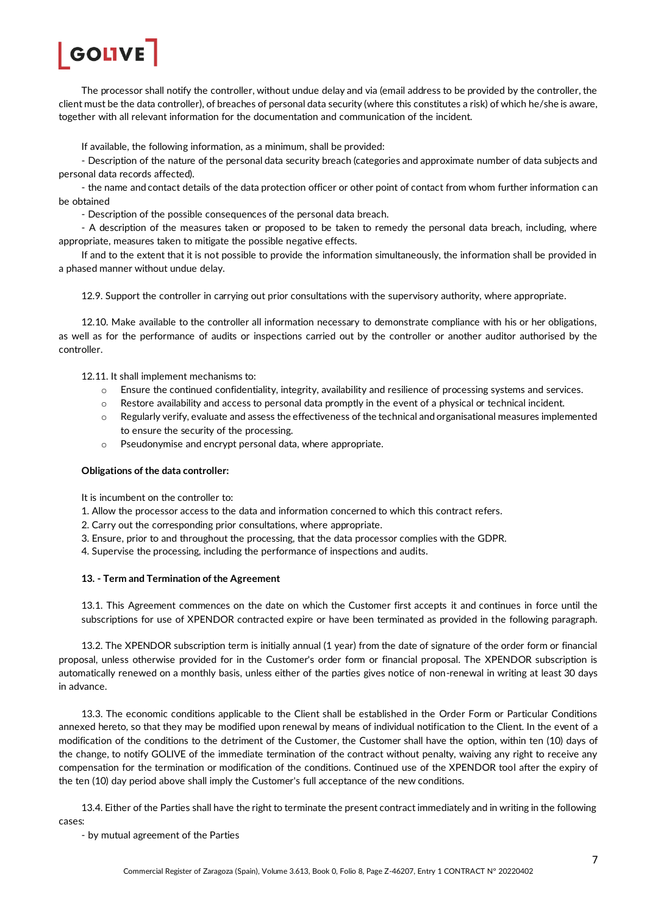

The processor shall notify the controller, without undue delay and via (email address to be provided by the controller, the client must be the data controller), of breaches of personal data security (where this constitutes a risk) of which he/she is aware, together with all relevant information for the documentation and communication of the incident.

If available, the following information, as a minimum, shall be provided:

- Description of the nature of the personal data security breach (categories and approximate number of data subjects and personal data records affected).

- the name and contact details of the data protection officer or other point of contact from whom further information can be obtained

- Description of the possible consequences of the personal data breach.

- A description of the measures taken or proposed to be taken to remedy the personal data breach, including, where appropriate, measures taken to mitigate the possible negative effects.

If and to the extent that it is not possible to provide the information simultaneously, the information shall be provided in a phased manner without undue delay.

12.9. Support the controller in carrying out prior consultations with the supervisory authority, where appropriate.

12.10. Make available to the controller all information necessary to demonstrate compliance with his or her obligations, as well as for the performance of audits or inspections carried out by the controller or another auditor authorised by the controller.

12.11. It shall implement mechanisms to:

- o Ensure the continued confidentiality, integrity, availability and resilience of processing systems and services.
- o Restore availability and access to personal data promptly in the event of a physical or technical incident.
- $\circ$  Regularly verify, evaluate and assess the effectiveness of the technical and organisational measures implemented to ensure the security of the processing.
- o Pseudonymise and encrypt personal data, where appropriate.

#### **Obligations of the data controller:**

It is incumbent on the controller to:

- 1. Allow the processor access to the data and information concerned to which this contract refers.
- 2. Carry out the corresponding prior consultations, where appropriate.
- 3. Ensure, prior to and throughout the processing, that the data processor complies with the GDPR.
- 4. Supervise the processing, including the performance of inspections and audits.

#### **13. - Term and Termination of the Agreement**

13.1. This Agreement commences on the date on which the Customer first accepts it and continues in force until the subscriptions for use of XPENDOR contracted expire or have been terminated as provided in the following paragraph.

13.2. The XPENDOR subscription term is initially annual (1 year) from the date of signature of the order form or financial proposal, unless otherwise provided for in the Customer's order form or financial proposal. The XPENDOR subscription is automatically renewed on a monthly basis, unless either of the parties gives notice of non-renewal in writing at least 30 days in advance.

13.3. The economic conditions applicable to the Client shall be established in the Order Form or Particular Conditions annexed hereto, so that they may be modified upon renewal by means of individual notification to the Client. In the event of a modification of the conditions to the detriment of the Customer, the Customer shall have the option, within ten (10) days of the change, to notify GOLIVE of the immediate termination of the contract without penalty, waiving any right to receive any compensation for the termination or modification of the conditions. Continued use of the XPENDOR tool after the expiry of the ten (10) day period above shall imply the Customer's full acceptance of the new conditions.

13.4. Either of the Parties shall have the right to terminate the present contract immediately and in writing in the following cases:

- by mutual agreement of the Parties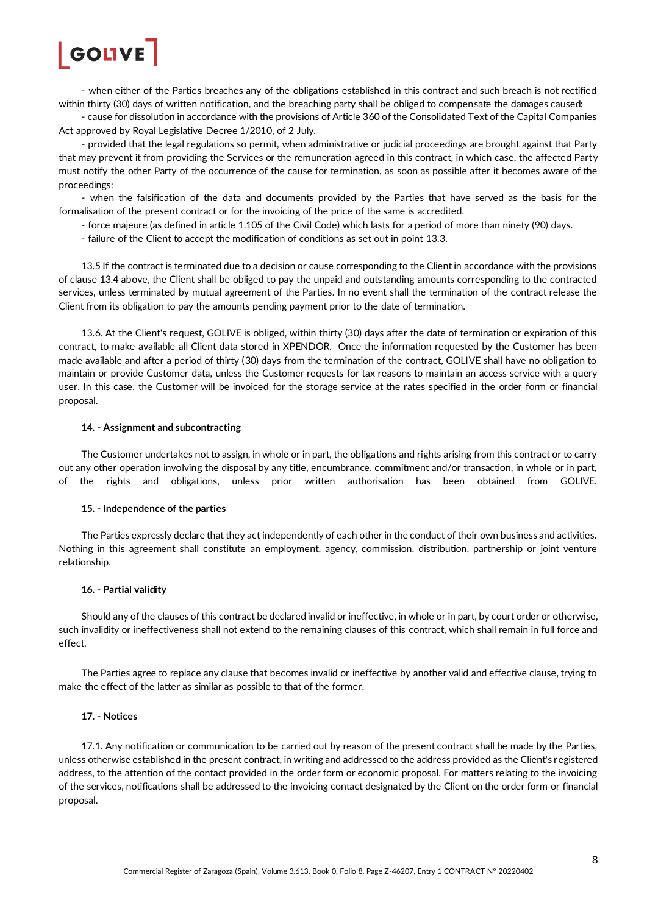

- when either of the Parties breaches any of the obligations established in this contract and such breach is not rectified within thirty (30) days of written notification, and the breaching party shall be obliged to compensate the damages caused;

- cause for dissolution in accordance with the provisions of Article 360 of the Consolidated Text of the Capital Companies Act approved by Royal Legislative Decree 1/2010, of 2 July.

- provided that the legal regulations so permit, when administrative or judicial proceedings are brought against that Party that may prevent it from providing the Services or the remuneration agreed in this contract, in which case, the affected Party must notify the other Party of the occurrence of the cause for termination, as soon as possible after it becomes aware of the proceedings:

- when the falsification of the data and documents provided by the Parties that have served as the basis for the formalisation of the present contract or for the invoicing of the price of the same is accredited.

- force majeure (as defined in article 1.105 of the Civil Code) which lasts for a period of more than ninety (90) days.
- failure of the Client to accept the modification of conditions as set out in point 13.3.

13.5 If the contract is terminated due to a decision or cause corresponding to the Client in accordance with the provisions of clause 13.4 above, the Client shall be obliged to pay the unpaid and outstanding amounts corresponding to the contracted services, unless terminated by mutual agreement of the Parties. In no event shall the termination of the contract release the Client from its obligation to pay the amounts pending payment prior to the date of termination.

13.6. At the Client's request, GOLIVE is obliged, within thirty (30) days after the date of termination or expiration of this contract, to make available all Client data stored in XPENDOR. Once the information requested by the Customer has been made available and after a period of thirty (30) days from the termination of the contract, GOLIVE shall have no obligation to maintain or provide Customer data, unless the Customer requests for tax reasons to maintain an access service with a query user. In this case, the Customer will be invoiced for the storage service at the rates specified in the order form or financial proposal.

#### **14. - Assignment and subcontracting**

The Customer undertakes not to assign, in whole or in part, the obligations and rights arising from this contract or to carry out any other operation involving the disposal by any title, encumbrance, commitment and/or transaction, in whole or in part, of the rights and obligations, unless prior written authorisation has been obtained from GOLIVE.

#### **15. - Independence of the parties**

The Parties expressly declare that they act independently of each other in the conduct of their own business and activities. Nothing in this agreement shall constitute an employment, agency, commission, distribution, partnership or joint venture relationship.

#### **16. - Partial validity**

Should any of the clauses of this contract be declared invalid or ineffective, in whole or in part, by court order or otherwise, such invalidity or ineffectiveness shall not extend to the remaining clauses of this contract, which shall remain in full force and effect.

The Parties agree to replace any clause that becomes invalid or ineffective by another valid and effective clause, trying to make the effect of the latter as similar as possible to that of the former.

#### **17. - Notices**

17.1. Any notification or communication to be carried out by reason of the present contract shall be made by the Parties, unless otherwise established in the present contract, in writing and addressed to the address provided as the Client's registered address, to the attention of the contact provided in the order form or economic proposal. For matters relating to the invoicing of the services, notifications shall be addressed to the invoicing contact designated by the Client on the order form or financial proposal.